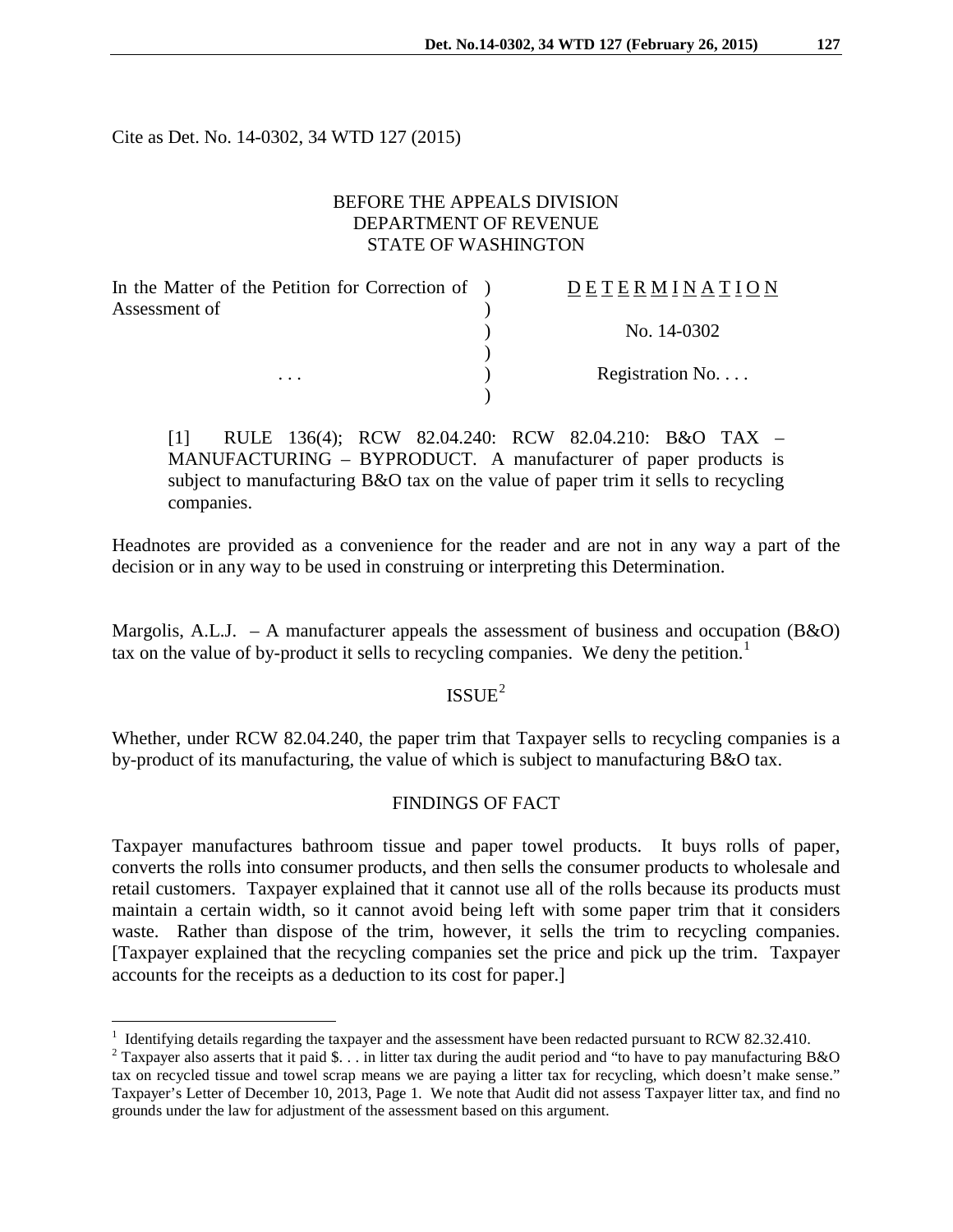Cite as Det. No. 14-0302, 34 WTD 127 (2015)

 $\overline{a}$ 

# BEFORE THE APPEALS DIVISION DEPARTMENT OF REVENUE STATE OF WASHINGTON

| In the Matter of the Petition for Correction of ) | <b>DETERMINATION</b> |
|---------------------------------------------------|----------------------|
| Assessment of                                     |                      |
|                                                   | No. 14-0302          |
|                                                   |                      |
| $\cdots$                                          | Registration No      |
|                                                   |                      |

[1] RULE 136(4); RCW 82.04.240: RCW 82.04.210: B&O TAX – MANUFACTURING – BYPRODUCT. A manufacturer of paper products is subject to manufacturing B&O tax on the value of paper trim it sells to recycling companies.

Headnotes are provided as a convenience for the reader and are not in any way a part of the decision or in any way to be used in construing or interpreting this Determination.

Margolis, A.L.J. – A manufacturer appeals the assessment of business and occupation  $(B&0)$ tax on the value of by-product it sells to recycling companies. We deny the petition.<sup>[1](#page-0-0)</sup>

# $ISSUE<sup>2</sup>$  $ISSUE<sup>2</sup>$  $ISSUE<sup>2</sup>$

Whether, under RCW 82.04.240, the paper trim that Taxpayer sells to recycling companies is a by-product of its manufacturing, the value of which is subject to manufacturing B&O tax.

#### FINDINGS OF FACT

Taxpayer manufactures bathroom tissue and paper towel products. It buys rolls of paper, converts the rolls into consumer products, and then sells the consumer products to wholesale and retail customers. Taxpayer explained that it cannot use all of the rolls because its products must maintain a certain width, so it cannot avoid being left with some paper trim that it considers waste. Rather than dispose of the trim, however, it sells the trim to recycling companies. [Taxpayer explained that the recycling companies set the price and pick up the trim. Taxpayer accounts for the receipts as a deduction to its cost for paper.]

<span id="page-0-0"></span><sup>&</sup>lt;sup>1</sup> Identifying details regarding the taxpayer and the assessment have been redacted pursuant to RCW 82.32.410.<br><sup>2</sup> Taxpayer also asserts that it paid \$... in litter tax during the audit period and "to have to pay manufac

<span id="page-0-1"></span>tax on recycled tissue and towel scrap means we are paying a litter tax for recycling, which doesn't make sense." Taxpayer's Letter of December 10, 2013, Page 1. We note that Audit did not assess Taxpayer litter tax, and find no grounds under the law for adjustment of the assessment based on this argument.